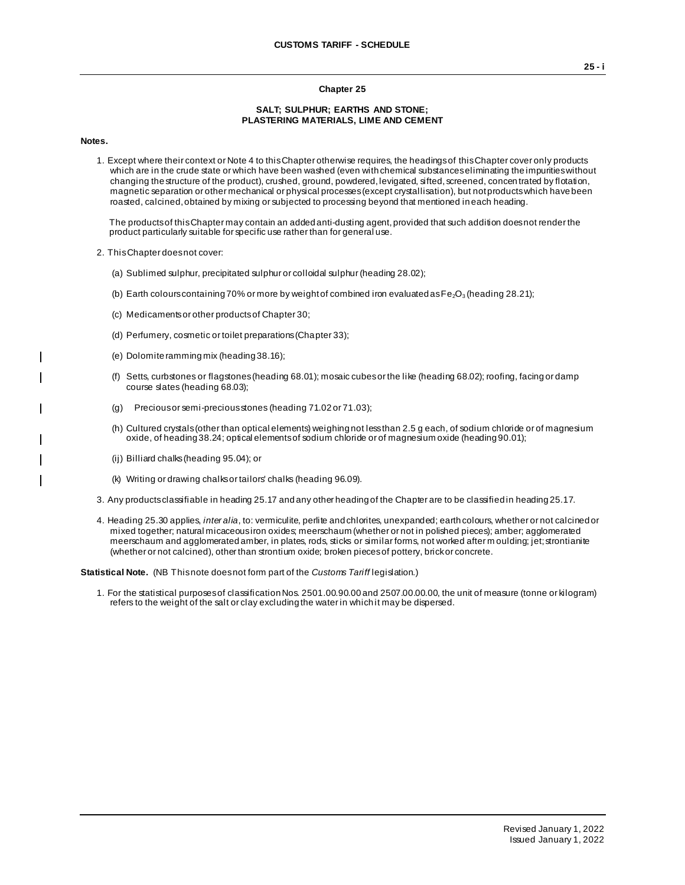## **Chapter 25**

## **SALT; SULPHUR; EARTHS AND STONE; PLASTERING MATERIALS, LIME AND CEMENT**

**Notes.**

1. Except where their context or Note 4 to this Chapter otherwise requires, the headings of this Chapter cover only products which are in the crude state or which have been washed (even with chemical substances eliminating the impurities without changing the structure of the product), crushed, ground, powdered, levigated, sifted, screened, concen trated by flotation, magnetic separation or other mechanical or physical processes (except crystallisation), but not products which have been roasted, calcined, obtained by mixing or subjected to processing beyond that mentioned in each heading.

The products of this Chapter may contain an added anti-dusting agent, provided that such addition does not render the product particularly suitable for specific use rather than for general use.

- 2. This Chapter does not cover:
	- (a) Sublimed sulphur, precipitated sulphur or colloidal sulphur (heading 28.02);
	- (b) Earth colours containing 70% or more by weight of combined iron evaluated as  $Fe<sub>2</sub>O<sub>3</sub>$  (heading 28.21);
	- (c) Medicaments or other products of Chapter 30;
	- (d) Perfumery, cosmetic or toilet preparations (Chapter 33);
	- (e) Dolomite ramming mix (heading 38.16);
	- (f) Setts, curbstones or flagstones (heading 68.01); mosaic cubes or the like (heading 68.02); roofing, facing or damp course slates (heading 68.03);
	- (g) Precious or semi-precious stones (heading 71.02 or 71.03);
	- (h) Cultured crystals (other than optical elements) weighing not less than 2.5 g each, of sodium chloride or of magnesium oxide, of heading 38.24; optical elements of sodium chloride or of magnesium oxide (heading 90.01);
	- (ij) Billiard chalks (heading 95.04); or
	- (k) Writing or drawing chalks or tailors' chalks (heading 96.09).
- 3. Any products classifiable in heading 25.17 and any other heading of the Chapter are to be classified in heading 25.17.
- 4. Heading 25.30 applies, *inter alia*, to: vermiculite, perlite and chlorites, unexpanded; earth colours, whether or not calcined or mixed together; natural micaceous iron oxides; meerschaum (whether or not in polished pieces); amber; agglomerated meerschaum and agglomerated amber, in plates, rods, sticks or similar forms, not worked after m oulding; jet; strontianite (whether or not calcined), other than strontium oxide; broken pieces of pottery, brick or concrete.

**Statistical Note.** (NB This note does not form part of the *Customs Tariff* legislation.)

1. For the statistical purposes of classification Nos. 2501.00.90.00 and 2507.00.00.00, the unit of measure (tonne or kilogram) refers to the weight of the salt or clay excluding the water in which it may be dispersed.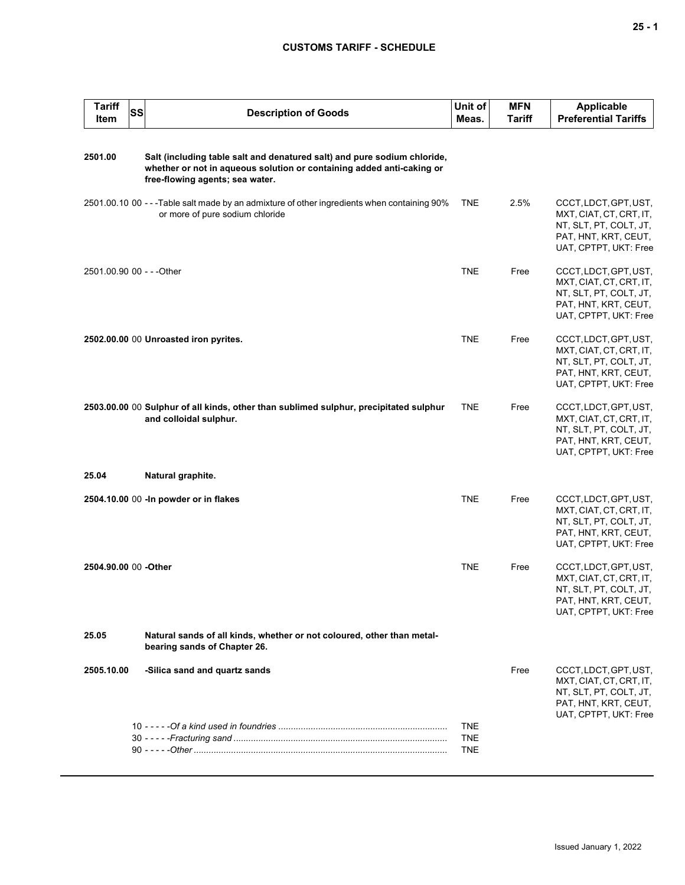## **CUSTOMS TARIFF - SCHEDULE**

| <b>Tariff</b><br><b>Item</b> | SS | <b>Description of Goods</b>                                                                                                                                                          | Unit of<br>Meas.                       | <b>MFN</b><br><b>Tariff</b> | <b>Applicable</b><br><b>Preferential Tariffs</b>                                                                            |
|------------------------------|----|--------------------------------------------------------------------------------------------------------------------------------------------------------------------------------------|----------------------------------------|-----------------------------|-----------------------------------------------------------------------------------------------------------------------------|
| 2501.00                      |    | Salt (including table salt and denatured salt) and pure sodium chloride,<br>whether or not in aqueous solution or containing added anti-caking or<br>free-flowing agents; sea water. |                                        |                             |                                                                                                                             |
|                              |    | 2501.00.10 00 - - - Table salt made by an admixture of other ingredients when containing 90%<br>or more of pure sodium chloride                                                      | <b>TNE</b>                             | 2.5%                        | CCCT, LDCT, GPT, UST,<br>MXT, CIAT, CT, CRT, IT,<br>NT, SLT, PT, COLT, JT,<br>PAT, HNT, KRT, CEUT,<br>UAT, CPTPT, UKT: Free |
| 2501.00.90 00 - - - Other    |    |                                                                                                                                                                                      | <b>TNE</b>                             | Free                        | CCCT, LDCT, GPT, UST,<br>MXT, CIAT, CT, CRT, IT,<br>NT, SLT, PT, COLT, JT,<br>PAT, HNT, KRT, CEUT,<br>UAT, CPTPT, UKT: Free |
|                              |    | 2502.00.00 00 Unroasted iron pyrites.                                                                                                                                                | <b>TNE</b>                             | Free                        | CCCT, LDCT, GPT, UST,<br>MXT, CIAT, CT, CRT, IT,<br>NT, SLT, PT, COLT, JT,<br>PAT, HNT, KRT, CEUT,<br>UAT, CPTPT, UKT: Free |
|                              |    | 2503.00.00 00 Sulphur of all kinds, other than sublimed sulphur, precipitated sulphur<br>and colloidal sulphur.                                                                      | <b>TNE</b>                             | Free                        | CCCT, LDCT, GPT, UST,<br>MXT, CIAT, CT, CRT, IT,<br>NT, SLT, PT, COLT, JT,<br>PAT, HNT, KRT, CEUT,<br>UAT, CPTPT, UKT: Free |
| 25.04                        |    | Natural graphite.                                                                                                                                                                    |                                        |                             |                                                                                                                             |
|                              |    | 2504.10.00 00 - In powder or in flakes                                                                                                                                               | <b>TNE</b>                             | Free                        | CCCT, LDCT, GPT, UST,<br>MXT, CIAT, CT, CRT, IT,<br>NT, SLT, PT, COLT, JT,<br>PAT, HNT, KRT, CEUT,<br>UAT, CPTPT, UKT: Free |
| 2504.90.00 00 -Other         |    |                                                                                                                                                                                      | <b>TNE</b>                             | Free                        | CCCT, LDCT, GPT, UST,<br>MXT, CIAT, CT, CRT, IT,<br>NT, SLT, PT, COLT, JT,<br>PAT, HNT, KRT, CEUT,<br>UAT, CPTPT, UKT: Free |
| 25.05                        |    | Natural sands of all kinds, whether or not coloured, other than metal-<br>bearing sands of Chapter 26.                                                                               |                                        |                             |                                                                                                                             |
| 2505.10.00                   |    | -Silica sand and quartz sands                                                                                                                                                        |                                        | Free                        | CCCT, LDCT, GPT, UST,<br>MXT, CIAT, CT, CRT, IT,<br>NT, SLT, PT, COLT, JT,<br>PAT, HNT, KRT, CEUT,<br>UAT, CPTPT, UKT: Free |
|                              |    |                                                                                                                                                                                      | <b>TNE</b><br><b>TNE</b><br><b>TNE</b> |                             |                                                                                                                             |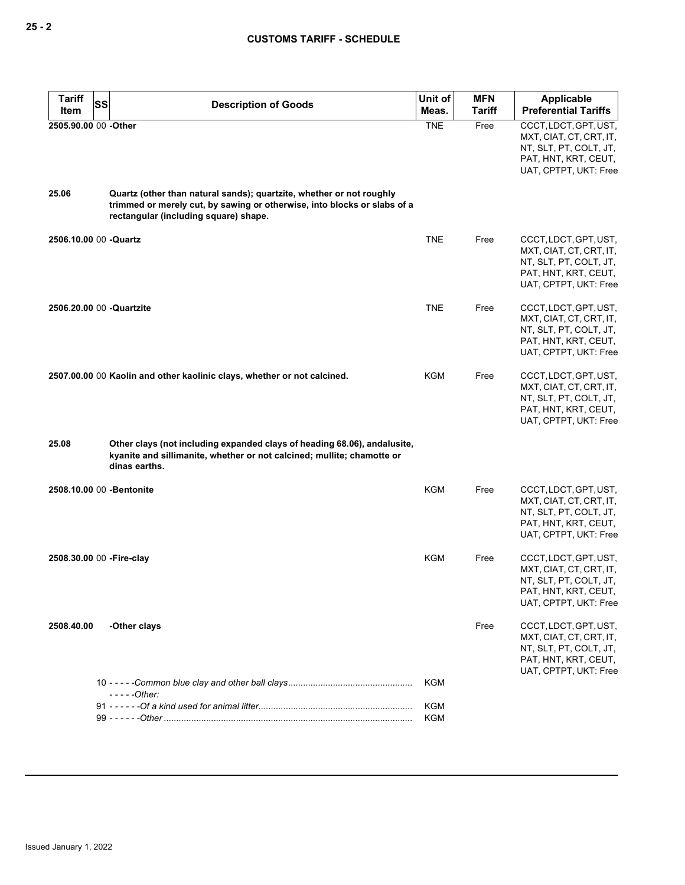| <b>Tariff</b><br>SS<br>Item | <b>Description of Goods</b>                                                                                                                                                               | Unit of<br>Meas.  | <b>MFN</b><br><b>Tariff</b> | Applicable<br><b>Preferential Tariffs</b>                                                                                   |
|-----------------------------|-------------------------------------------------------------------------------------------------------------------------------------------------------------------------------------------|-------------------|-----------------------------|-----------------------------------------------------------------------------------------------------------------------------|
| 2505.90.00 00 -Other        |                                                                                                                                                                                           | <b>TNE</b>        | Free                        | CCCT, LDCT, GPT, UST,<br>MXT, CIAT, CT, CRT, IT,<br>NT, SLT, PT, COLT, JT,<br>PAT, HNT, KRT, CEUT,<br>UAT, CPTPT, UKT: Free |
| 25.06                       | Quartz (other than natural sands); quartzite, whether or not roughly<br>trimmed or merely cut, by sawing or otherwise, into blocks or slabs of a<br>rectangular (including square) shape. |                   |                             |                                                                                                                             |
| 2506.10.00 00 -Quartz       |                                                                                                                                                                                           | <b>TNE</b>        | Free                        | CCCT, LDCT, GPT, UST,<br>MXT, CIAT, CT, CRT, IT,<br>NT, SLT, PT, COLT, JT,<br>PAT, HNT, KRT, CEUT,<br>UAT, CPTPT, UKT: Free |
| 2506.20.00 00 -Quartzite    |                                                                                                                                                                                           | <b>TNE</b>        | Free                        | CCCT, LDCT, GPT, UST,<br>MXT, CIAT, CT, CRT, IT,<br>NT, SLT, PT, COLT, JT,<br>PAT, HNT, KRT, CEUT,<br>UAT, CPTPT, UKT: Free |
|                             | 2507.00.00 00 Kaolin and other kaolinic clays, whether or not calcined.                                                                                                                   | KGM               | Free                        | CCCT, LDCT, GPT, UST,<br>MXT, CIAT, CT, CRT, IT,<br>NT, SLT, PT, COLT, JT,<br>PAT, HNT, KRT, CEUT,<br>UAT, CPTPT, UKT: Free |
| 25.08                       | Other clays (not including expanded clays of heading 68.06), andalusite,<br>kyanite and sillimanite, whether or not calcined; mullite; chamotte or<br>dinas earths.                       |                   |                             |                                                                                                                             |
| 2508.10.00 00 - Bentonite   |                                                                                                                                                                                           | KGM               | Free                        | CCCT, LDCT, GPT, UST,<br>MXT, CIAT, CT, CRT, IT,<br>NT, SLT, PT, COLT, JT,<br>PAT, HNT, KRT, CEUT,<br>UAT, CPTPT, UKT: Free |
| 2508.30.00 00 - Fire-clay   |                                                                                                                                                                                           | <b>KGM</b>        | Free                        | CCCT, LDCT, GPT, UST,<br>MXT, CIAT, CT, CRT, IT,<br>NT, SLT, PT, COLT, JT,<br>PAI, HNI, KRI, CEUI,<br>UAT, CPTPT, UKT: Free |
| 2508.40.00                  | -Other clays                                                                                                                                                                              |                   | Free                        | CCCT, LDCT, GPT, UST,<br>MXT, CIAT, CT, CRT, IT,<br>NT, SLT, PT, COLT, JT,<br>PAT, HNT, KRT, CEUT,<br>UAT, CPTPT, UKT: Free |
|                             | $---Other:$                                                                                                                                                                               | <b>KGM</b>        |                             |                                                                                                                             |
|                             |                                                                                                                                                                                           | KGM<br><b>KGM</b> |                             |                                                                                                                             |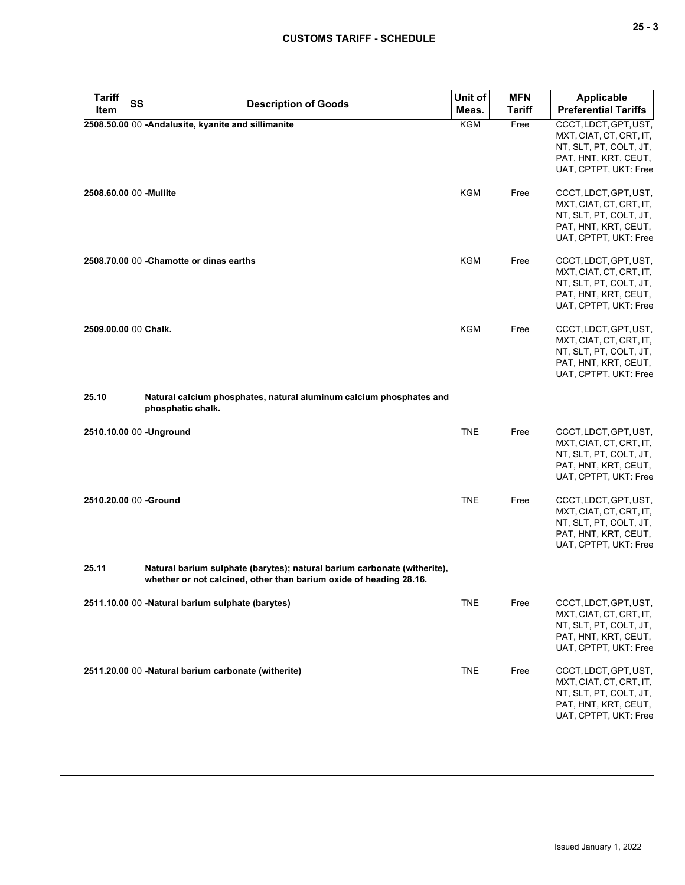| × |  | v<br>۰. |
|---|--|---------|
|---|--|---------|

| <b>Tariff</b>          | <b>SS</b><br><b>Description of Goods</b>                                                                                                       | Unit of    | <b>MFN</b>    | <b>Applicable</b>                                                                                                           |
|------------------------|------------------------------------------------------------------------------------------------------------------------------------------------|------------|---------------|-----------------------------------------------------------------------------------------------------------------------------|
| <b>Item</b>            |                                                                                                                                                | Meas.      | <b>Tariff</b> | <b>Preferential Tariffs</b>                                                                                                 |
|                        | 2508.50.00 00 -Andalusite, kyanite and sillimanite                                                                                             | KGM        | Free          | CCCT, LDCT, GPT, UST,<br>MXT, CIAT, CT, CRT, IT,<br>NT, SLT, PT, COLT, JT,<br>PAT, HNT, KRT, CEUT,<br>UAT, CPTPT, UKT: Free |
| 2508.60.00 00 -Mullite |                                                                                                                                                | <b>KGM</b> | Free          | CCCT, LDCT, GPT, UST,<br>MXT, CIAT, CT, CRT, IT,<br>NT, SLT, PT, COLT, JT,<br>PAT, HNT, KRT, CEUT,<br>UAT, CPTPT, UKT: Free |
|                        | 2508.70.00 00 - Chamotte or dinas earths                                                                                                       | <b>KGM</b> | Free          | CCCT, LDCT, GPT, UST,<br>MXT, CIAT, CT, CRT, IT,<br>NT, SLT, PT, COLT, JT,<br>PAT, HNT, KRT, CEUT,<br>UAT, CPTPT, UKT: Free |
| 2509.00.00 00 Chalk.   |                                                                                                                                                | <b>KGM</b> | Free          | CCCT, LDCT, GPT, UST,<br>MXT, CIAT, CT, CRT, IT,<br>NT, SLT, PT, COLT, JT,<br>PAT, HNT, KRT, CEUT,<br>UAT, CPTPT, UKT: Free |
| 25.10                  | Natural calcium phosphates, natural aluminum calcium phosphates and<br>phosphatic chalk.                                                       |            |               |                                                                                                                             |
|                        | 2510.10.00 00 -Unground                                                                                                                        | <b>TNE</b> | Free          | CCCT, LDCT, GPT, UST,<br>MXT, CIAT, CT, CRT, IT,<br>NT, SLT, PT, COLT, JT,<br>PAT, HNT, KRT, CEUT,<br>UAT, CPTPT, UKT: Free |
| 2510.20.00 00 -Ground  |                                                                                                                                                | <b>TNE</b> | Free          | CCCT, LDCT, GPT, UST,<br>MXT, CIAT, CT, CRT, IT,<br>NT, SLT, PT, COLT, JT,<br>PAT, HNT, KRT, CEUT,<br>UAT, CPTPT, UKT: Free |
| 25.11                  | Natural barium sulphate (barytes); natural barium carbonate (witherite),<br>whether or not calcined, other than barium oxide of heading 28.16. |            |               |                                                                                                                             |
|                        | 2511.10.00 00 -Natural barium sulphate (barytes)                                                                                               | <b>TNE</b> | Free          | CCCT, LDCT, GPT, UST,<br>MXT, CIAT, CT, CRT, IT,<br>NT, SLT, PT, COLT, JT,<br>PAT, HNT, KRT, CEUT,<br>UAT, CPTPT, UKT: Free |
|                        | 2511.20.00 00 -Natural barium carbonate (witherite)                                                                                            | <b>TNE</b> | Free          | CCCT, LDCT, GPT, UST,<br>MXT, CIAT, CT, CRT, IT,<br>NT, SLT, PT, COLT, JT,<br>PAT, HNT, KRT, CEUT,<br>UAT, CPTPT, UKT: Free |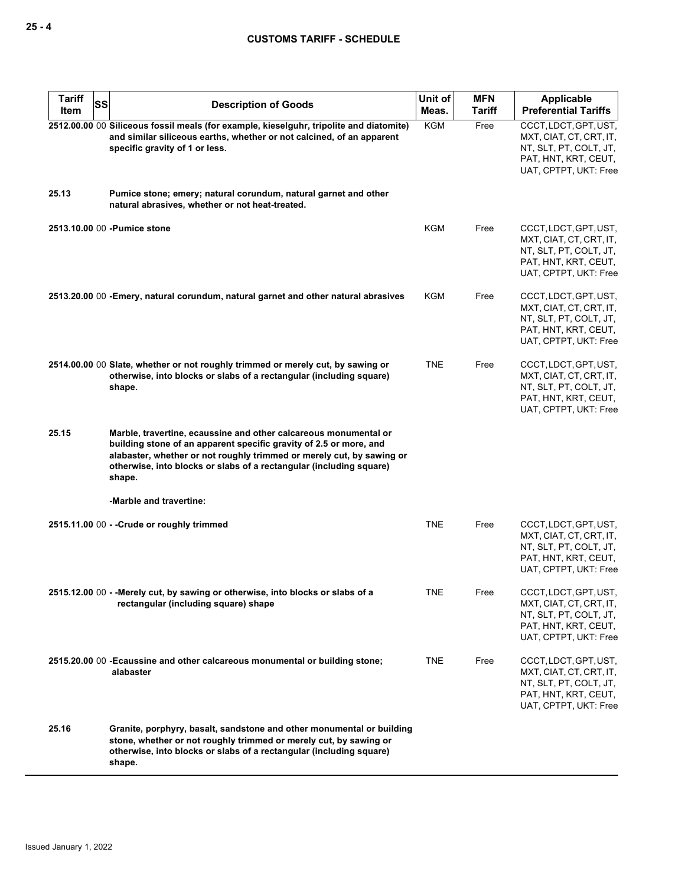| <b>Tariff</b><br>SS<br>Item | <b>Description of Goods</b>                                                                                                                                                                                                                                                                      | Unit of<br>Meas. | <b>MFN</b><br>Tariff | Applicable<br><b>Preferential Tariffs</b>                                                                                   |
|-----------------------------|--------------------------------------------------------------------------------------------------------------------------------------------------------------------------------------------------------------------------------------------------------------------------------------------------|------------------|----------------------|-----------------------------------------------------------------------------------------------------------------------------|
|                             | 2512.00.00 00 Siliceous fossil meals (for example, kieselguhr, tripolite and diatomite)<br>and similar siliceous earths, whether or not calcined, of an apparent<br>specific gravity of 1 or less.                                                                                               | <b>KGM</b>       | Free                 | CCCT, LDCT, GPT, UST,<br>MXT, CIAT, CT, CRT, IT,<br>NT, SLT, PT, COLT, JT,<br>PAT, HNT, KRT, CEUT,<br>UAT, CPTPT, UKT: Free |
| 25.13                       | Pumice stone; emery; natural corundum, natural garnet and other<br>natural abrasives, whether or not heat-treated.                                                                                                                                                                               |                  |                      |                                                                                                                             |
|                             | 2513.10.00 00 - Pumice stone                                                                                                                                                                                                                                                                     | <b>KGM</b>       | Free                 | CCCT, LDCT, GPT, UST,<br>MXT, CIAT, CT, CRT, IT,<br>NT, SLT, PT, COLT, JT,<br>PAT, HNT, KRT, CEUT,<br>UAT, CPTPT, UKT: Free |
|                             | 2513.20.00 00 - Emery, natural corundum, natural garnet and other natural abrasives                                                                                                                                                                                                              | KGM              | Free                 | CCCT, LDCT, GPT, UST,<br>MXT, CIAT, CT, CRT, IT,<br>NT, SLT, PT, COLT, JT,<br>PAT, HNT, KRT, CEUT,<br>UAT, CPTPT, UKT: Free |
|                             | 2514.00.00 00 Slate, whether or not roughly trimmed or merely cut, by sawing or<br>otherwise, into blocks or slabs of a rectangular (including square)<br>shape.                                                                                                                                 | <b>TNE</b>       | Free                 | CCCT, LDCT, GPT, UST,<br>MXT, CIAT, CT, CRT, IT,<br>NT, SLT, PT, COLT, JT,<br>PAT, HNT, KRT, CEUT,<br>UAT, CPTPT, UKT: Free |
| 25.15                       | Marble, travertine, ecaussine and other calcareous monumental or<br>building stone of an apparent specific gravity of 2.5 or more, and<br>alabaster, whether or not roughly trimmed or merely cut, by sawing or<br>otherwise, into blocks or slabs of a rectangular (including square)<br>shape. |                  |                      |                                                                                                                             |
|                             | -Marble and travertine:                                                                                                                                                                                                                                                                          |                  |                      |                                                                                                                             |
|                             | 2515.11.00 00 - - Crude or roughly trimmed                                                                                                                                                                                                                                                       | <b>TNE</b>       | Free                 | CCCT, LDCT, GPT, UST,<br>MXT, CIAT, CT, CRT, IT,<br>NT, SLT, PT, COLT, JT,<br>PAT, HNT, KRT, CEUT,<br>UAT, CPTPT, UKT: Free |
|                             | 2515.12.00 00 - - Merely cut, by sawing or otherwise, into blocks or slabs of a<br>rectangular (including square) shape                                                                                                                                                                          | <b>TNE</b>       | Free                 | CCCT, LDCT, GPT, UST,<br>MXT, CIAT, CT, CRT, IT,<br>NT, SLT, PT, COLT, JT,<br>PAT, HNT, KRT, CEUT,<br>UAT, CPTPT, UKT: Free |
|                             | 2515.20.00 00 - Ecaussine and other calcareous monumental or building stone;<br>alabaster                                                                                                                                                                                                        | <b>TNE</b>       | Free                 | CCCT, LDCT, GPT, UST,<br>MXT, CIAT, CT, CRT, IT,<br>NT, SLT, PT, COLT, JT,<br>PAT, HNT, KRT, CEUT,<br>UAT, CPTPT, UKT: Free |
| 25.16                       | Granite, porphyry, basalt, sandstone and other monumental or building<br>stone, whether or not roughly trimmed or merely cut, by sawing or<br>otherwise, into blocks or slabs of a rectangular (including square)<br>shape.                                                                      |                  |                      |                                                                                                                             |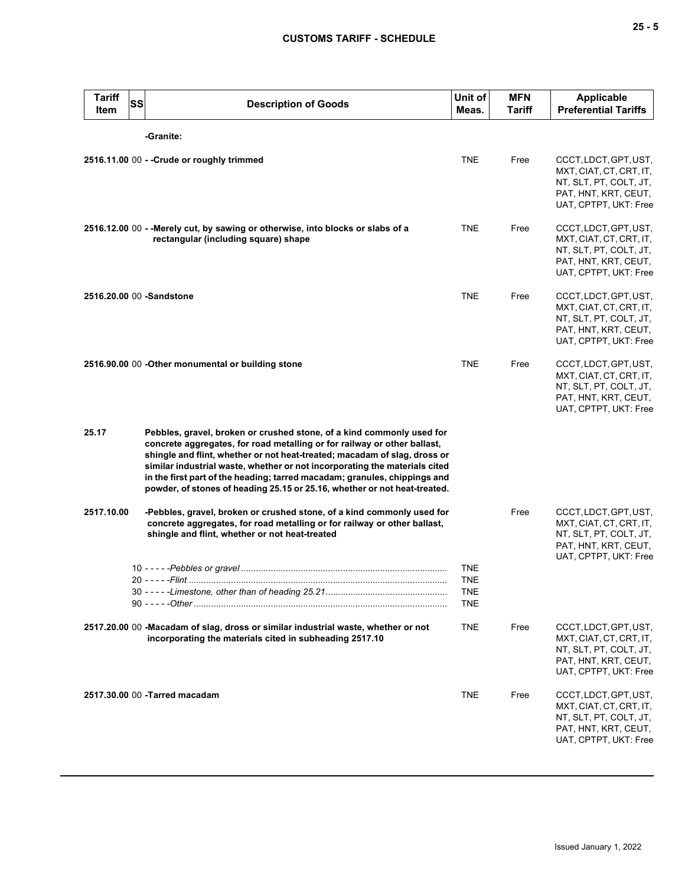| <b>Tariff</b><br>Item    | SS | <b>Description of Goods</b>                                                                                                                                                                                                                                                                                                                                                                                                                                            | Unit of<br>Meas.                              | <b>MFN</b><br>Tariff | <b>Applicable</b><br><b>Preferential Tariffs</b>                                                                            |
|--------------------------|----|------------------------------------------------------------------------------------------------------------------------------------------------------------------------------------------------------------------------------------------------------------------------------------------------------------------------------------------------------------------------------------------------------------------------------------------------------------------------|-----------------------------------------------|----------------------|-----------------------------------------------------------------------------------------------------------------------------|
|                          |    | -Granite:                                                                                                                                                                                                                                                                                                                                                                                                                                                              |                                               |                      |                                                                                                                             |
|                          |    | 2516.11.00 00 - - Crude or roughly trimmed                                                                                                                                                                                                                                                                                                                                                                                                                             | <b>TNE</b>                                    | Free                 | CCCT, LDCT, GPT, UST,<br>MXT, CIAT, CT, CRT, IT,<br>NT, SLT, PT, COLT, JT,<br>PAT, HNT, KRT, CEUT,<br>UAT, CPTPT, UKT: Free |
|                          |    | 2516.12.00 00 - - Merely cut, by sawing or otherwise, into blocks or slabs of a<br>rectangular (including square) shape                                                                                                                                                                                                                                                                                                                                                | <b>TNE</b>                                    | Free                 | CCCT, LDCT, GPT, UST,<br>MXT, CIAT, CT, CRT, IT,<br>NT, SLT, PT, COLT, JT,<br>PAT, HNT, KRT, CEUT,<br>UAT, CPTPT, UKT: Free |
| 2516.20.00 00 -Sandstone |    |                                                                                                                                                                                                                                                                                                                                                                                                                                                                        | <b>TNE</b>                                    | Free                 | CCCT, LDCT, GPT, UST,<br>MXT, CIAT, CT, CRT, IT,<br>NT, SLT, PT, COLT, JT,<br>PAT, HNT, KRT, CEUT,<br>UAT, CPTPT, UKT: Free |
|                          |    | 2516.90.00 00 - Other monumental or building stone                                                                                                                                                                                                                                                                                                                                                                                                                     | <b>TNE</b>                                    | Free                 | CCCT, LDCT, GPT, UST,<br>MXT, CIAT, CT, CRT, IT,<br>NT, SLT, PT, COLT, JT,<br>PAT, HNT, KRT, CEUT,<br>UAT, CPTPT, UKT: Free |
| 25.17                    |    | Pebbles, gravel, broken or crushed stone, of a kind commonly used for<br>concrete aggregates, for road metalling or for railway or other ballast,<br>shingle and flint, whether or not heat-treated; macadam of slag, dross or<br>similar industrial waste, whether or not incorporating the materials cited<br>in the first part of the heading; tarred macadam; granules, chippings and<br>powder, of stones of heading 25.15 or 25.16, whether or not heat-treated. |                                               |                      |                                                                                                                             |
| 2517.10.00               |    | -Pebbles, gravel, broken or crushed stone, of a kind commonly used for<br>concrete aggregates, for road metalling or for railway or other ballast,<br>shingle and flint, whether or not heat-treated                                                                                                                                                                                                                                                                   |                                               | Free                 | CCCT, LDCT, GPT, UST,<br>MXT, CIAT, CT, CRT, IT,<br>NT, SLT, PT, COLT, JT,<br>PAT, HNT, KRT, CEUT,<br>UAT, CPTPT, UKT: Free |
|                          |    |                                                                                                                                                                                                                                                                                                                                                                                                                                                                        | <b>TNE</b><br><b>TNE</b><br>TNE<br><b>TNE</b> |                      |                                                                                                                             |
|                          |    | 2517.20.00 00 -Macadam of slag, dross or similar industrial waste, whether or not<br>incorporating the materials cited in subheading 2517.10                                                                                                                                                                                                                                                                                                                           | <b>TNE</b>                                    | Free                 | CCCT, LDCT, GPT, UST,<br>MXT, CIAT, CT, CRT, IT,<br>NT, SLT, PT, COLT, JT,<br>PAT, HNT, KRT, CEUT,<br>UAT, CPTPT, UKT: Free |
|                          |    | 2517.30.00 00 - Tarred macadam                                                                                                                                                                                                                                                                                                                                                                                                                                         | <b>TNE</b>                                    | Free                 | CCCT, LDCT, GPT, UST,<br>MXT, CIAT, CT, CRT, IT,<br>NT, SLT, PT, COLT, JT,<br>PAT, HNT, KRT, CEUT,<br>UAT, CPTPT, UKT: Free |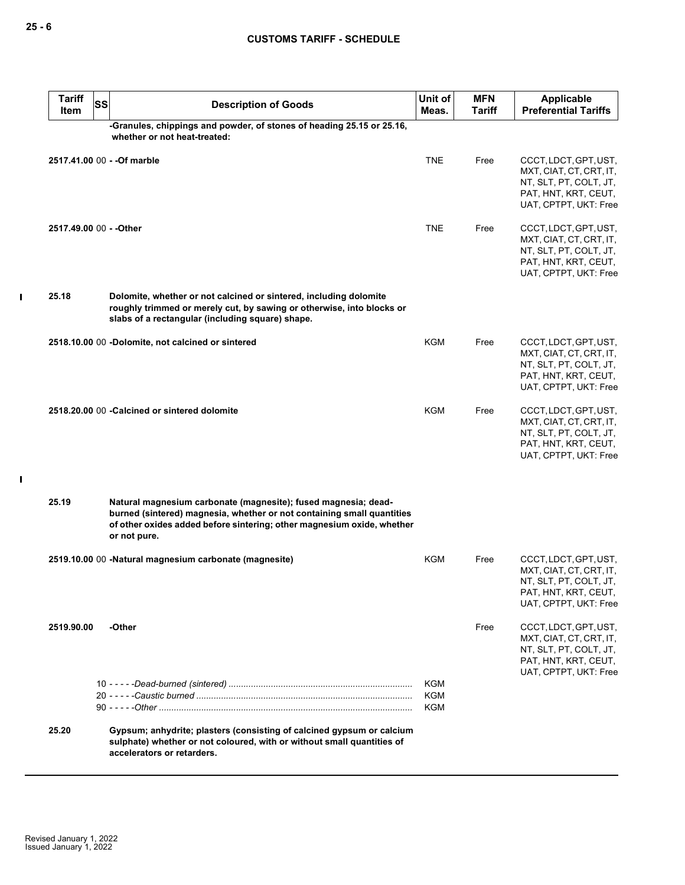| <b>Tariff</b><br>Item   | <b>SS</b> | <b>Description of Goods</b>                                                                                                                                                                                                        | Unit of<br>Meas.         | <b>MFN</b><br><b>Tariff</b> | <b>Applicable</b><br><b>Preferential Tariffs</b>                                                                            |
|-------------------------|-----------|------------------------------------------------------------------------------------------------------------------------------------------------------------------------------------------------------------------------------------|--------------------------|-----------------------------|-----------------------------------------------------------------------------------------------------------------------------|
|                         |           | -Granules, chippings and powder, of stones of heading 25.15 or 25.16,<br>whether or not heat-treated:                                                                                                                              |                          |                             |                                                                                                                             |
|                         |           | 2517.41.00 00 - - Of marble                                                                                                                                                                                                        | <b>TNE</b>               | Free                        | CCCT, LDCT, GPT, UST,<br>MXT, CIAT, CT, CRT, IT,<br>NT, SLT, PT, COLT, JT,<br>PAT, HNT, KRT, CEUT,<br>UAT, CPTPT, UKT: Free |
| 2517.49.00 00 - - Other |           |                                                                                                                                                                                                                                    | <b>TNE</b>               | Free                        | CCCT, LDCT, GPT, UST,<br>MXT, CIAT, CT, CRT, IT,<br>NT, SLT, PT, COLT, JT,<br>PAT, HNT, KRT, CEUT,<br>UAT, CPTPT, UKT: Free |
| 25.18                   |           | Dolomite, whether or not calcined or sintered, including dolomite<br>roughly trimmed or merely cut, by sawing or otherwise, into blocks or<br>slabs of a rectangular (including square) shape.                                     |                          |                             |                                                                                                                             |
|                         |           | 2518.10.00 00 -Dolomite, not calcined or sintered                                                                                                                                                                                  | <b>KGM</b>               | Free                        | CCCT, LDCT, GPT, UST,<br>MXT, CIAT, CT, CRT, IT,<br>NT, SLT, PT, COLT, JT,<br>PAT, HNT, KRT, CEUT,<br>UAT, CPTPT, UKT: Free |
|                         |           | 2518.20.00 00 - Calcined or sintered dolomite                                                                                                                                                                                      | <b>KGM</b>               | Free                        | CCCT, LDCT, GPT, UST,<br>MXT, CIAT, CT, CRT, IT,<br>NT, SLT, PT, COLT, JT,<br>PAT, HNT, KRT, CEUT,<br>UAT, CPTPT, UKT: Free |
| 25.19                   |           | Natural magnesium carbonate (magnesite); fused magnesia; dead-<br>burned (sintered) magnesia, whether or not containing small quantities<br>of other oxides added before sintering; other magnesium oxide, whether<br>or not pure. |                          |                             |                                                                                                                             |
|                         |           | 2519.10.00 00 -Natural magnesium carbonate (magnesite)                                                                                                                                                                             | KGM                      | Free                        | CCCT, LDCT, GPT, UST,<br>MXT, CIAT, CT, CRT, IT,<br>NT, SLT, PT, COLT, JT,<br>PAT, HNT, KRT, CEUT,<br>UAT, CPTPT, UKT: Free |
| 2519.90.00              |           | -Other                                                                                                                                                                                                                             |                          | Free                        | CCCT, LDCT, GPT, UST,<br>MXT, CIAT, CT, CRT, IT,<br>NT, SLT, PT, COLT, JT,<br>PAT, HNT, KRT, CEUT,<br>UAT, CPTPT, UKT: Free |
|                         |           |                                                                                                                                                                                                                                    | <b>KGM</b><br>KGM<br>KGM |                             |                                                                                                                             |
| 25.20                   |           | Gypsum; anhydrite; plasters (consisting of calcined gypsum or calcium<br>sulphate) whether or not coloured, with or without small quantities of<br>accelerators or retarders.                                                      |                          |                             |                                                                                                                             |

 $\mathbf I$ 

 $\mathbf{I}$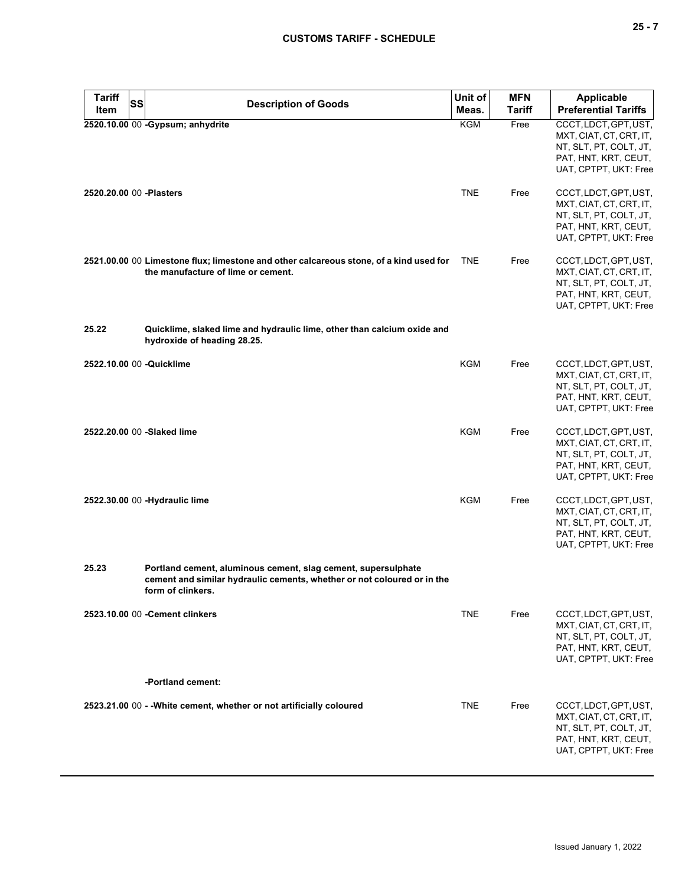| <b>Tariff</b><br><b>SS</b> | <b>Description of Goods</b>                                                                                                                                   | Unit of    | <b>MFN</b>    | Applicable                                                                                                                  |
|----------------------------|---------------------------------------------------------------------------------------------------------------------------------------------------------------|------------|---------------|-----------------------------------------------------------------------------------------------------------------------------|
| Item                       |                                                                                                                                                               | Meas.      | <b>Tariff</b> | <b>Preferential Tariffs</b>                                                                                                 |
|                            | 2520.10.00 00 -Gypsum; anhydrite                                                                                                                              | <b>KGM</b> | Free          | CCCT, LDCT, GPT, UST,<br>MXT, CIAT, CT, CRT, IT,<br>NT, SLT, PT, COLT, JT,<br>PAT, HNT, KRT, CEUT,<br>UAT, CPTPT, UKT: Free |
| 2520.20.00 00 - Plasters   |                                                                                                                                                               | <b>TNE</b> | Free          | CCCT, LDCT, GPT, UST,<br>MXT, CIAT, CT, CRT, IT,<br>NT, SLT, PT, COLT, JT,<br>PAT, HNT, KRT, CEUT,<br>UAT, CPTPT, UKT: Free |
|                            | 2521.00.00 00 Limestone flux; limestone and other calcareous stone, of a kind used for<br>the manufacture of lime or cement.                                  | <b>TNE</b> | Free          | CCCT, LDCT, GPT, UST,<br>MXT, CIAT, CT, CRT, IT,<br>NT, SLT, PT, COLT, JT,<br>PAT, HNT, KRT, CEUT,<br>UAT, CPTPT, UKT: Free |
| 25.22                      | Quicklime, slaked lime and hydraulic lime, other than calcium oxide and<br>hydroxide of heading 28.25.                                                        |            |               |                                                                                                                             |
| 2522.10.00 00 -Quicklime   |                                                                                                                                                               | <b>KGM</b> | Free          | CCCT, LDCT, GPT, UST,<br>MXT, CIAT, CT, CRT, IT,<br>NT, SLT, PT, COLT, JT,<br>PAT, HNT, KRT, CEUT,<br>UAT, CPTPT, UKT: Free |
| 2522.20.00 00 -Slaked lime |                                                                                                                                                               | <b>KGM</b> | Free          | CCCT, LDCT, GPT, UST,<br>MXT, CIAT, CT, CRT, IT,<br>NT, SLT, PT, COLT, JT,<br>PAT, HNT, KRT, CEUT,<br>UAT, CPTPT, UKT: Free |
|                            | 2522.30.00 00 -Hydraulic lime                                                                                                                                 | <b>KGM</b> | Free          | CCCT, LDCT, GPT, UST,<br>MXT, CIAT, CT, CRT, IT,<br>NT, SLT, PT, COLT, JT,<br>PAT, HNT, KRT, CEUT,<br>UAT, CPTPT, UKT: Free |
| 25.23                      | Portland cement, aluminous cement, slag cement, supersulphate<br>cement and similar hydraulic cements, whether or not coloured or in the<br>form of clinkers. |            |               |                                                                                                                             |
|                            | 2523.10.00 00 - Cement clinkers                                                                                                                               | <b>TNE</b> | Free          | CCCT, LDCT, GPT, UST,<br>MXT, CIAT, CT, CRT, IT,<br>NT, SLT, PT, COLT, JT,<br>PAT, HNT, KRT, CEUT,<br>UAT, CPTPT, UKT: Free |
|                            | -Portland cement:                                                                                                                                             |            |               |                                                                                                                             |
|                            | 2523.21.00 00 - - White cement, whether or not artificially coloured                                                                                          | <b>TNE</b> | Free          | CCCT, LDCT, GPT, UST,<br>MXT, CIAT, CT, CRT, IT,<br>NT, SLT, PT, COLT, JT,<br>PAT, HNT, KRT, CEUT,<br>UAT, CPTPT, UKT: Free |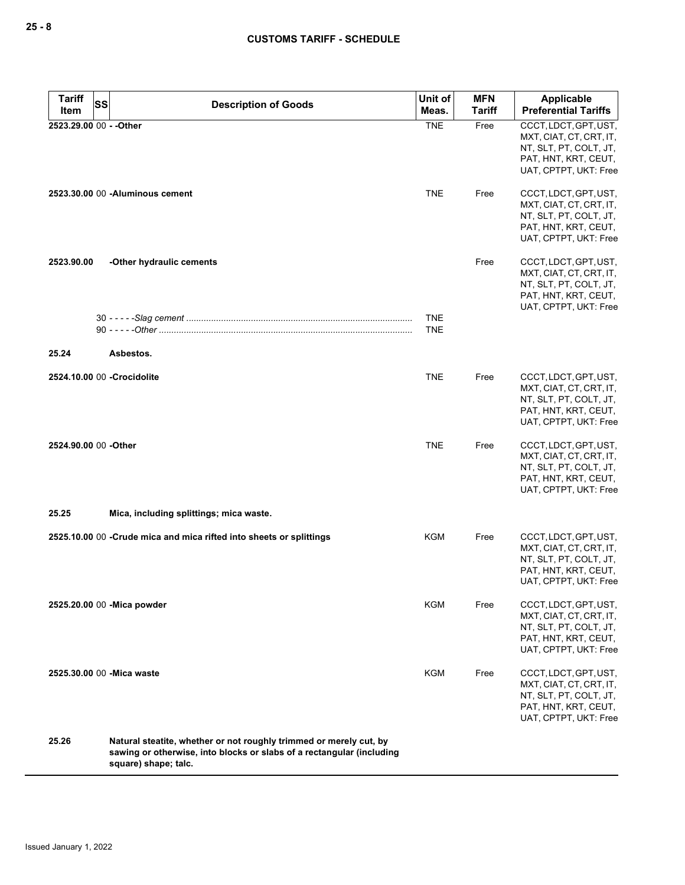| <b>Tariff</b><br>SS     | <b>Description of Goods</b>                                                                                                                                         | Unit of                  | <b>MFN</b>    | Applicable                                                                                                                  |
|-------------------------|---------------------------------------------------------------------------------------------------------------------------------------------------------------------|--------------------------|---------------|-----------------------------------------------------------------------------------------------------------------------------|
| Item                    |                                                                                                                                                                     | Meas.                    | <b>Tariff</b> | <b>Preferential Tariffs</b>                                                                                                 |
| 2523.29.00 00 - - Other |                                                                                                                                                                     | <b>TNE</b>               | Free          | CCCT, LDCT, GPT, UST,<br>MXT, CIAT, CT, CRT, IT,<br>NT, SLT, PT, COLT, JT,<br>PAT, HNT, KRT, CEUT,<br>UAT, CPTPT, UKT: Free |
|                         | 2523.30.00 00 - Aluminous cement                                                                                                                                    | <b>TNE</b>               | Free          | CCCT, LDCT, GPT, UST,<br>MXT, CIAT, CT, CRT, IT,<br>NT, SLT, PT, COLT, JT,<br>PAT, HNT, KRT, CEUT,<br>UAT, CPTPT, UKT: Free |
| 2523.90.00              | -Other hydraulic cements                                                                                                                                            |                          | Free          | CCCT, LDCT, GPT, UST,<br>MXT, CIAT, CT, CRT, IT,<br>NT, SLT, PT, COLT, JT,<br>PAT, HNT, KRT, CEUT,<br>UAT, CPTPT, UKT: Free |
|                         |                                                                                                                                                                     | <b>TNE</b><br><b>TNE</b> |               |                                                                                                                             |
| 25.24                   | Asbestos.                                                                                                                                                           |                          |               |                                                                                                                             |
|                         | 2524.10.00 00 - Crocidolite                                                                                                                                         | <b>TNE</b>               | Free          | CCCT, LDCT, GPT, UST,<br>MXT, CIAT, CT, CRT, IT,<br>NT, SLT, PT, COLT, JT,<br>PAT, HNT, KRT, CEUT,<br>UAT, CPTPT, UKT: Free |
| 2524.90.00 00 - Other   |                                                                                                                                                                     | <b>TNE</b>               | Free          | CCCT, LDCT, GPT, UST,<br>MXT, CIAT, CT, CRT, IT,<br>NT, SLT, PT, COLT, JT,<br>PAT, HNT, KRT, CEUT,<br>UAT, CPTPT, UKT: Free |
| 25.25                   | Mica, including splittings; mica waste.                                                                                                                             |                          |               |                                                                                                                             |
|                         | 2525.10.00 00 -Crude mica and mica rifted into sheets or splittings                                                                                                 | KGM                      | Free          | CCCT, LDCT, GPT, UST,<br>MXT, CIAT, CT, CRT, IT,<br>NT, SLT, PT, COLT, JT,<br>PAT, HNT, KRT, CEUT,<br>UAT, CPTPT, UKT: Free |
|                         | 2525.20.00 00 - Mica powder                                                                                                                                         | KGM                      | Free          | CCCT, LDCT, GPT, UST,<br>MXT, CIAT, CT, CRT, IT,<br>NT, SLT, PT, COLT, JT,<br>PAT, HNT, KRT, CEUT,<br>UAT, CPTPT, UKT: Free |
|                         | 2525.30.00 00 - Mica waste                                                                                                                                          | KGM                      | Free          | CCCT, LDCT, GPT, UST,<br>MXT, CIAT, CT, CRT, IT,<br>NT, SLT, PT, COLT, JT,<br>PAT, HNT, KRT, CEUT,<br>UAT, CPTPT, UKT: Free |
| 25.26                   | Natural steatite, whether or not roughly trimmed or merely cut, by<br>sawing or otherwise, into blocks or slabs of a rectangular (including<br>square) shape; talc. |                          |               |                                                                                                                             |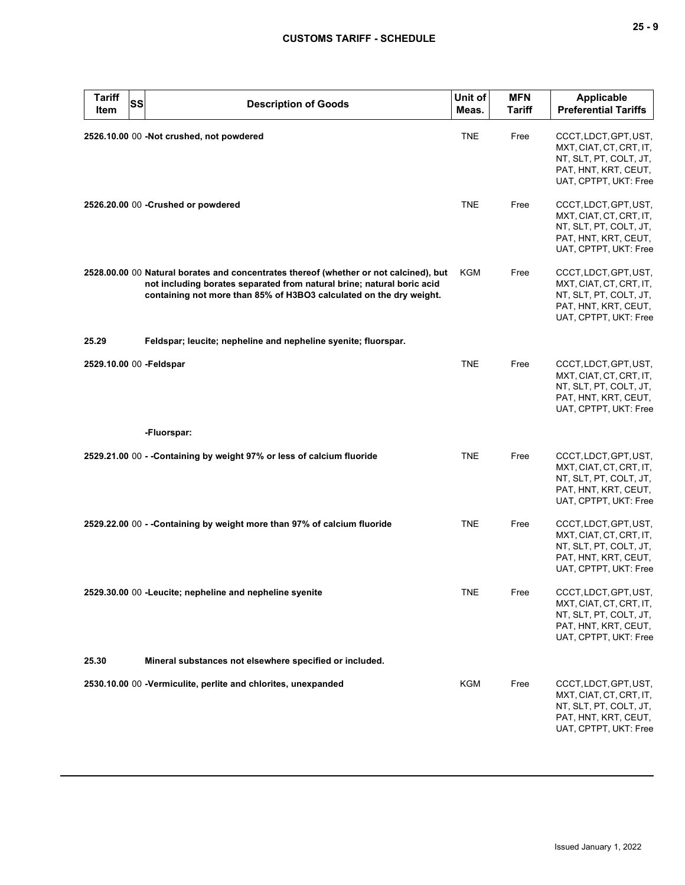| <b>Tariff</b><br>SS<br>Item | <b>Description of Goods</b>                                                                                                                                                                                                            | Unit of<br>Meas. | <b>MFN</b><br>Tariff | <b>Applicable</b><br><b>Preferential Tariffs</b>                                                                            |
|-----------------------------|----------------------------------------------------------------------------------------------------------------------------------------------------------------------------------------------------------------------------------------|------------------|----------------------|-----------------------------------------------------------------------------------------------------------------------------|
|                             | 2526.10.00 00 -Not crushed, not powdered                                                                                                                                                                                               | <b>TNE</b>       | Free                 | CCCT, LDCT, GPT, UST,<br>MXT, CIAT, CT, CRT, IT,<br>NT, SLT, PT, COLT, JT,<br>PAT, HNT, KRT, CEUT,<br>UAT, CPTPT, UKT: Free |
|                             | 2526.20.00 00 - Crushed or powdered                                                                                                                                                                                                    | <b>TNE</b>       | Free                 | CCCT, LDCT, GPT, UST,<br>MXT, CIAT, CT, CRT, IT,<br>NT, SLT, PT, COLT, JT,<br>PAT, HNT, KRT, CEUT,<br>UAT, CPTPT, UKT: Free |
|                             | 2528.00.00 00 Natural borates and concentrates thereof (whether or not calcined), but<br>not including borates separated from natural brine; natural boric acid<br>containing not more than 85% of H3BO3 calculated on the dry weight. | KGM              | Free                 | CCCT, LDCT, GPT, UST,<br>MXT, CIAT, CT, CRT, IT,<br>NT, SLT, PT, COLT, JT,<br>PAT, HNT, KRT, CEUT,<br>UAT, CPTPT, UKT: Free |
| 25.29                       | Feldspar; leucite; nepheline and nepheline syenite; fluorspar.                                                                                                                                                                         |                  |                      |                                                                                                                             |
| 2529.10.00 00 -Feldspar     |                                                                                                                                                                                                                                        | <b>TNE</b>       | Free                 | CCCT, LDCT, GPT, UST,<br>MXT, CIAT, CT, CRT, IT,<br>NT, SLT, PT, COLT, JT,<br>PAT, HNT, KRT, CEUT,<br>UAT, CPTPT, UKT: Free |
|                             | -Fluorspar:                                                                                                                                                                                                                            |                  |                      |                                                                                                                             |
|                             | 2529.21.00 00 - - Containing by weight 97% or less of calcium fluoride                                                                                                                                                                 | <b>TNE</b>       | Free                 | CCCT, LDCT, GPT, UST,<br>MXT, CIAT, CT, CRT, IT,<br>NT, SLT, PT, COLT, JT,<br>PAT, HNT, KRT, CEUT,<br>UAT, CPTPT, UKT: Free |
|                             | 2529.22.00 00 - - Containing by weight more than 97% of calcium fluoride                                                                                                                                                               | <b>TNE</b>       | Free                 | CCCT, LDCT, GPT, UST,<br>MXT, CIAT, CT, CRT, IT,<br>NT, SLT, PT, COLT, JT,<br>PAT, HNT, KRT, CEUT,<br>UAT, CPTPT, UKT: Free |
|                             | 2529.30.00 00 -Leucite; nepheline and nepheline syenite                                                                                                                                                                                | TNE              | Free                 | CCCT, LDCT, GPT, UST,<br>MXT, CIAT, CT, CRT, IT,<br>NT, SLT, PT, COLT, JT,<br>PAT, HNT, KRT, CEUT,<br>UAT, CPTPT, UKT: Free |
| 25.30                       | Mineral substances not elsewhere specified or included.                                                                                                                                                                                |                  |                      |                                                                                                                             |
|                             | 2530.10.00 00 -Vermiculite, perlite and chlorites, unexpanded                                                                                                                                                                          | KGM              | Free                 | CCCT, LDCT, GPT, UST,<br>MXT, CIAT, CT, CRT, IT,<br>NT, SLT, PT, COLT, JT,<br>PAT, HNT, KRT, CEUT,<br>UAT, CPTPT, UKT: Free |